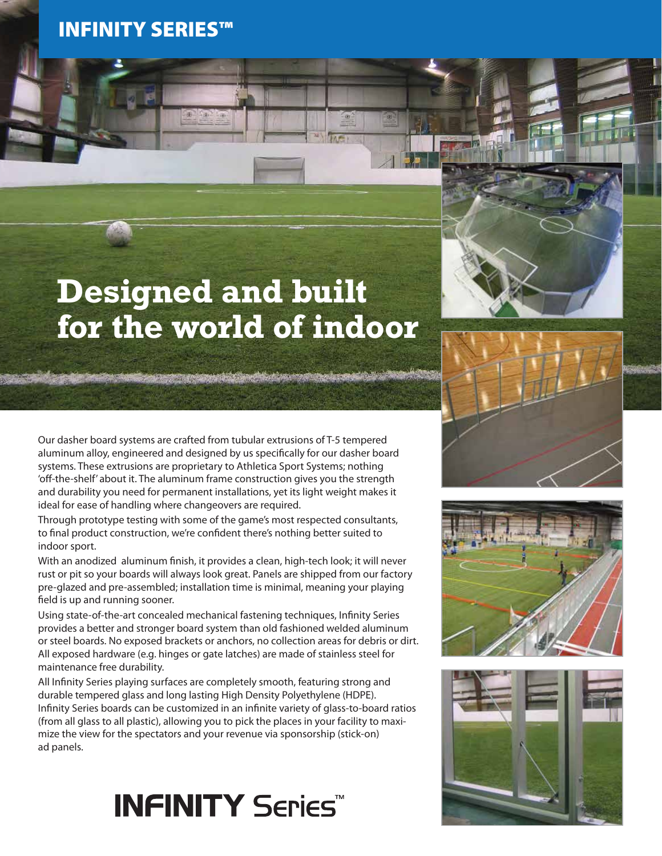### INFINITY SERIES™



# **Designed and built for the world of indoor**





Our dasher board systems are crafted from tubular extrusions of T-5 tempered aluminum alloy, engineered and designed by us specifically for our dasher board systems. These extrusions are proprietary to Athletica Sport Systems; nothing 'off-the-shelf' about it. The aluminum frame construction gives you the strength and durability you need for permanent installations, yet its light weight makes it ideal for ease of handling where changeovers are required.

Through prototype testing with some of the game's most respected consultants, to final product construction, we're confident there's nothing better suited to indoor sport.

With an anodized aluminum finish, it provides a clean, high-tech look; it will never rust or pit so your boards will always look great. Panels are shipped from our factory pre-glazed and pre-assembled; installation time is minimal, meaning your playing field is up and running sooner.

Using state-of-the-art concealed mechanical fastening techniques, Infinity Series provides a better and stronger board system than old fashioned welded aluminum or steel boards. No exposed brackets or anchors, no collection areas for debris or dirt. All exposed hardware (e.g. hinges or gate latches) are made of stainless steel for maintenance free durability.

All Infinity Series playing surfaces are completely smooth, featuring strong and durable tempered glass and long lasting High Density Polyethylene (HDPE). Infinity Series boards can be customized in an infinite variety of glass-to-board ratios (from all glass to all plastic), allowing you to pick the places in your facility to maximize the view for the spectators and your revenue via sponsorship (stick-on) ad panels.

### **INFINITY Series**